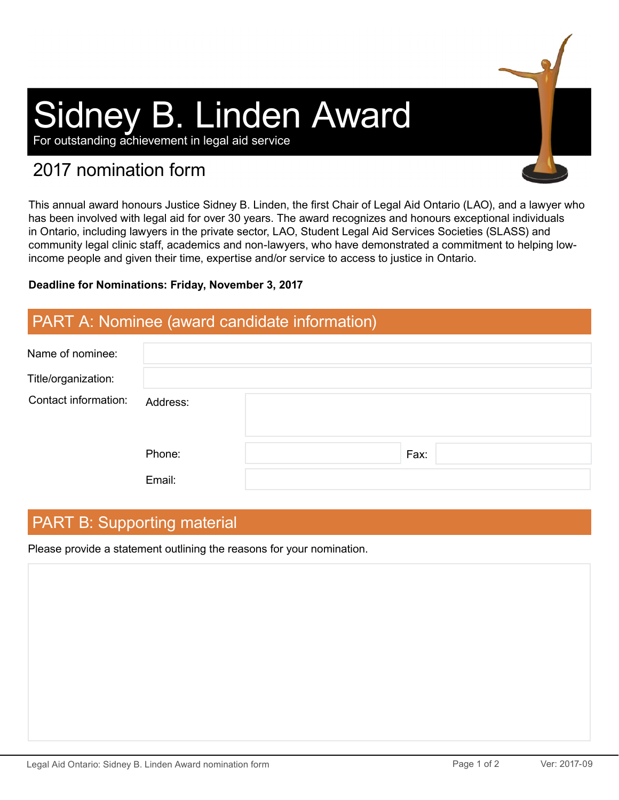# Sidney B. Linden Award

For outstanding achievement in legal aid service

# 2017 nomination form

This annual award honours Justice Sidney B. Linden, the first Chair of Legal Aid Ontario (LAO), and a lawyer who has been involved with legal aid for over 30 years. The award recognizes and honours exceptional individuals in Ontario, including lawyers in the private sector, LAO, Student Legal Aid Services Societies (SLASS) and community legal clinic staff, academics and non-lawyers, who have demonstrated a commitment to helping lowincome people and given their time, expertise and/or service to access to justice in Ontario.

#### **Deadline for Nominations: Friday, November 3, 2017**

## PART A: Nominee (award candidate information)

| Name of nominee:     |          |      |
|----------------------|----------|------|
| Title/organization:  |          |      |
| Contact information: | Address: |      |
|                      | Phone:   | Fax: |
|                      | Email:   |      |

# PART B: Supporting material

Please provide a statement outlining the reasons for your nomination.